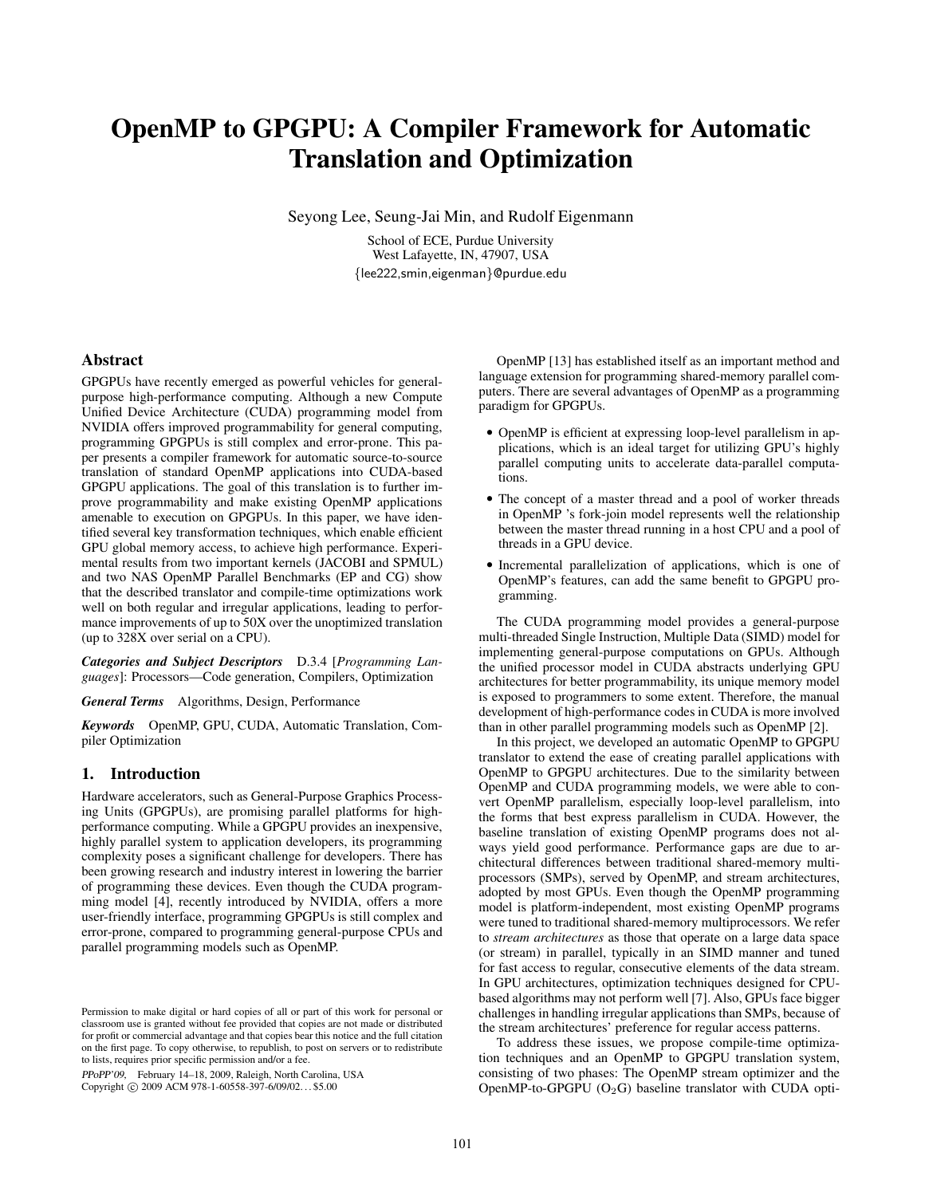# **OpenMP to GPGPU: A Compiler Framework for Automatic Translation and Optimization**

Seyong Lee, Seung-Jai Min, and Rudolf Eigenmann

School of ECE, Purdue University West Lafayette, IN, 47907, USA {lee222,smin,eigenman}@purdue.edu

# **Abstract**

GPGPUs have recently emerged as powerful vehicles for generalpurpose high-performance computing. Although a new Compute Unified Device Architecture (CUDA) programming model from NVIDIA offers improved programmability for general computing, programming GPGPUs is still complex and error-prone. This paper presents a compiler framework for automatic source-to-source translation of standard OpenMP applications into CUDA-based GPGPU applications. The goal of this translation is to further improve programmability and make existing OpenMP applications amenable to execution on GPGPUs. In this paper, we have identified several key transformation techniques, which enable efficient GPU global memory access, to achieve high performance. Experimental results from two important kernels (JACOBI and SPMUL) and two NAS OpenMP Parallel Benchmarks (EP and CG) show that the described translator and compile-time optimizations work well on both regular and irregular applications, leading to performance improvements of up to 50X over the unoptimized translation (up to 328X over serial on a CPU).

*Categories and Subject Descriptors* D.3.4 [*Programming Languages*]: Processors—Code generation, Compilers, Optimization

*General Terms* Algorithms, Design, Performance

*Keywords* OpenMP, GPU, CUDA, Automatic Translation, Compiler Optimization

## **1. Introduction**

Hardware accelerators, such as General-Purpose Graphics Processing Units (GPGPUs), are promising parallel platforms for highperformance computing. While a GPGPU provides an inexpensive, highly parallel system to application developers, its programming complexity poses a significant challenge for developers. There has been growing research and industry interest in lowering the barrier of programming these devices. Even though the CUDA programming model [4], recently introduced by NVIDIA, offers a more user-friendly interface, programming GPGPUs is still complex and error-prone, compared to programming general-purpose CPUs and parallel programming models such as OpenMP.

PPoPP'09, February 14–18, 2009, Raleigh, North Carolina, USA Copyright © 2009 ACM 978-1-60558-397-6/09/02... \$5.00

OpenMP [13] has established itself as an important method and language extension for programming shared-memory parallel computers. There are several advantages of OpenMP as a programming paradigm for GPGPUs.

- OpenMP is efficient at expressing loop-level parallelism in applications, which is an ideal target for utilizing GPU's highly parallel computing units to accelerate data-parallel computations.
- The concept of a master thread and a pool of worker threads in OpenMP 's fork-join model represents well the relationship between the master thread running in a host CPU and a pool of threads in a GPU device.
- Incremental parallelization of applications, which is one of OpenMP's features, can add the same benefit to GPGPU programming.

The CUDA programming model provides a general-purpose multi-threaded Single Instruction, Multiple Data (SIMD) model for implementing general-purpose computations on GPUs. Although the unified processor model in CUDA abstracts underlying GPU architectures for better programmability, its unique memory model is exposed to programmers to some extent. Therefore, the manual development of high-performance codes in CUDA is more involved than in other parallel programming models such as OpenMP [2].

In this project, we developed an automatic OpenMP to GPGPU translator to extend the ease of creating parallel applications with OpenMP to GPGPU architectures. Due to the similarity between OpenMP and CUDA programming models, we were able to convert OpenMP parallelism, especially loop-level parallelism, into the forms that best express parallelism in CUDA. However, the baseline translation of existing OpenMP programs does not always yield good performance. Performance gaps are due to architectural differences between traditional shared-memory multiprocessors (SMPs), served by OpenMP, and stream architectures, adopted by most GPUs. Even though the OpenMP programming model is platform-independent, most existing OpenMP programs were tuned to traditional shared-memory multiprocessors. We refer to *stream architectures* as those that operate on a large data space (or stream) in parallel, typically in an SIMD manner and tuned for fast access to regular, consecutive elements of the data stream. In GPU architectures, optimization techniques designed for CPUbased algorithms may not perform well [7]. Also, GPUs face bigger challenges in handling irregular applications than SMPs, because of the stream architectures' preference for regular access patterns.

To address these issues, we propose compile-time optimization techniques and an OpenMP to GPGPU translation system, consisting of two phases: The OpenMP stream optimizer and the OpenMP-to-GPGPU (O2G) baseline translator with CUDA opti-

Permission to make digital or hard copies of all or part of this work for personal or classroom use is granted without fee provided that copies are not made or distributed for profit or commercial advantage and that copies bear this notice and the full citation on the first page. To copy otherwise, to republish, to post on servers or to redistribute to lists, requires prior specific permission and/or a fee.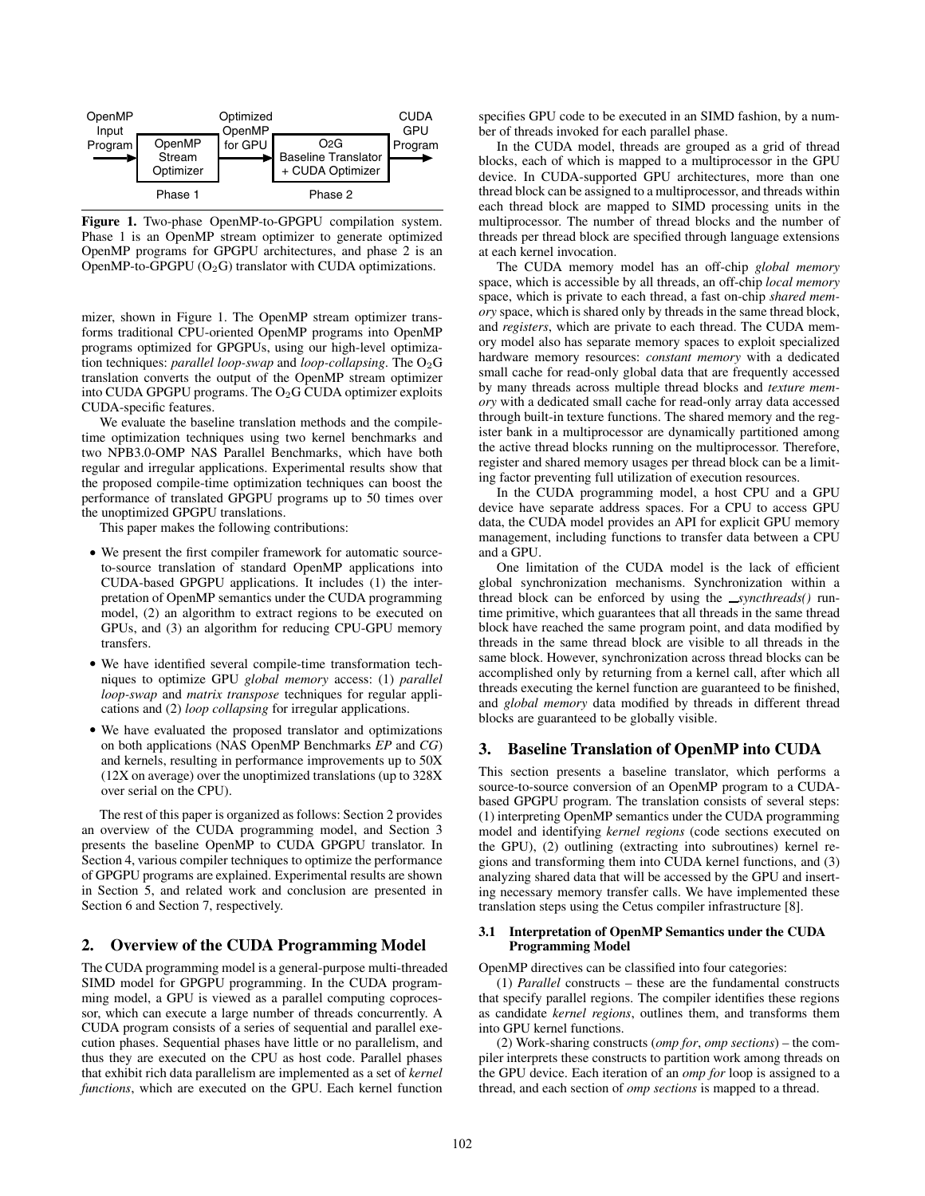

**Figure 1.** Two-phase OpenMP-to-GPGPU compilation system. Phase 1 is an OpenMP stream optimizer to generate optimized OpenMP programs for GPGPU architectures, and phase 2 is an OpenMP-to-GPGPU  $(O_2G)$  translator with CUDA optimizations.

mizer, shown in Figure 1. The OpenMP stream optimizer transforms traditional CPU-oriented OpenMP programs into OpenMP programs optimized for GPGPUs, using our high-level optimization techniques: *parallel loop-swap* and *loop-collapsing*. The O<sub>2</sub>G translation converts the output of the OpenMP stream optimizer into CUDA GPGPU programs. The  $O_2$ G CUDA optimizer exploits CUDA-specific features.

We evaluate the baseline translation methods and the compiletime optimization techniques using two kernel benchmarks and two NPB3.0-OMP NAS Parallel Benchmarks, which have both regular and irregular applications. Experimental results show that the proposed compile-time optimization techniques can boost the performance of translated GPGPU programs up to 50 times over the unoptimized GPGPU translations.

This paper makes the following contributions:

- We present the first compiler framework for automatic sourceto-source translation of standard OpenMP applications into CUDA-based GPGPU applications. It includes (1) the interpretation of OpenMP semantics under the CUDA programming model, (2) an algorithm to extract regions to be executed on GPUs, and (3) an algorithm for reducing CPU-GPU memory transfers.
- We have identified several compile-time transformation techniques to optimize GPU *global memory* access: (1) *parallel loop-swap* and *matrix transpose* techniques for regular applications and (2) *loop collapsing* for irregular applications.
- We have evaluated the proposed translator and optimizations on both applications (NAS OpenMP Benchmarks *EP* and *CG*) and kernels, resulting in performance improvements up to 50X (12X on average) over the unoptimized translations (up to 328X over serial on the CPU).

The rest of this paper is organized as follows: Section 2 provides an overview of the CUDA programming model, and Section 3 presents the baseline OpenMP to CUDA GPGPU translator. In Section 4, various compiler techniques to optimize the performance of GPGPU programs are explained. Experimental results are shown in Section 5, and related work and conclusion are presented in Section 6 and Section 7, respectively.

# **2. Overview of the CUDA Programming Model**

The CUDA programming model is a general-purpose multi-threaded SIMD model for GPGPU programming. In the CUDA programming model, a GPU is viewed as a parallel computing coprocessor, which can execute a large number of threads concurrently. A CUDA program consists of a series of sequential and parallel execution phases. Sequential phases have little or no parallelism, and thus they are executed on the CPU as host code. Parallel phases that exhibit rich data parallelism are implemented as a set of *kernel functions*, which are executed on the GPU. Each kernel function

specifies GPU code to be executed in an SIMD fashion, by a number of threads invoked for each parallel phase.

In the CUDA model, threads are grouped as a grid of thread blocks, each of which is mapped to a multiprocessor in the GPU device. In CUDA-supported GPU architectures, more than one thread block can be assigned to a multiprocessor, and threads within each thread block are mapped to SIMD processing units in the multiprocessor. The number of thread blocks and the number of threads per thread block are specified through language extensions at each kernel invocation.

The CUDA memory model has an off-chip *global memory* space, which is accessible by all threads, an off-chip *local memory* space, which is private to each thread, a fast on-chip *shared memory* space, which is shared only by threads in the same thread block, and *registers*, which are private to each thread. The CUDA memory model also has separate memory spaces to exploit specialized hardware memory resources: *constant memory* with a dedicated small cache for read-only global data that are frequently accessed by many threads across multiple thread blocks and *texture memory* with a dedicated small cache for read-only array data accessed through built-in texture functions. The shared memory and the register bank in a multiprocessor are dynamically partitioned among the active thread blocks running on the multiprocessor. Therefore, register and shared memory usages per thread block can be a limiting factor preventing full utilization of execution resources.

In the CUDA programming model, a host CPU and a GPU device have separate address spaces. For a CPU to access GPU data, the CUDA model provides an API for explicit GPU memory management, including functions to transfer data between a CPU and a GPU.

One limitation of the CUDA model is the lack of efficient global synchronization mechanisms. Synchronization within a thread block can be enforced by using the *\_syncthreads()* runtime primitive, which guarantees that all threads in the same thread block have reached the same program point, and data modified by threads in the same thread block are visible to all threads in the same block. However, synchronization across thread blocks can be accomplished only by returning from a kernel call, after which all threads executing the kernel function are guaranteed to be finished, and *global memory* data modified by threads in different thread blocks are guaranteed to be globally visible.

# **3. Baseline Translation of OpenMP into CUDA**

This section presents a baseline translator, which performs a source-to-source conversion of an OpenMP program to a CUDAbased GPGPU program. The translation consists of several steps: (1) interpreting OpenMP semantics under the CUDA programming model and identifying *kernel regions* (code sections executed on the GPU), (2) outlining (extracting into subroutines) kernel regions and transforming them into CUDA kernel functions, and (3) analyzing shared data that will be accessed by the GPU and inserting necessary memory transfer calls. We have implemented these translation steps using the Cetus compiler infrastructure [8].

## **3.1 Interpretation of OpenMP Semantics under the CUDA Programming Model**

OpenMP directives can be classified into four categories:

(1) *Parallel* constructs – these are the fundamental constructs that specify parallel regions. The compiler identifies these regions as candidate *kernel regions*, outlines them, and transforms them into GPU kernel functions.

(2) Work-sharing constructs (*omp for*, *omp sections*) – the compiler interprets these constructs to partition work among threads on the GPU device. Each iteration of an *omp for* loop is assigned to a thread, and each section of *omp sections* is mapped to a thread.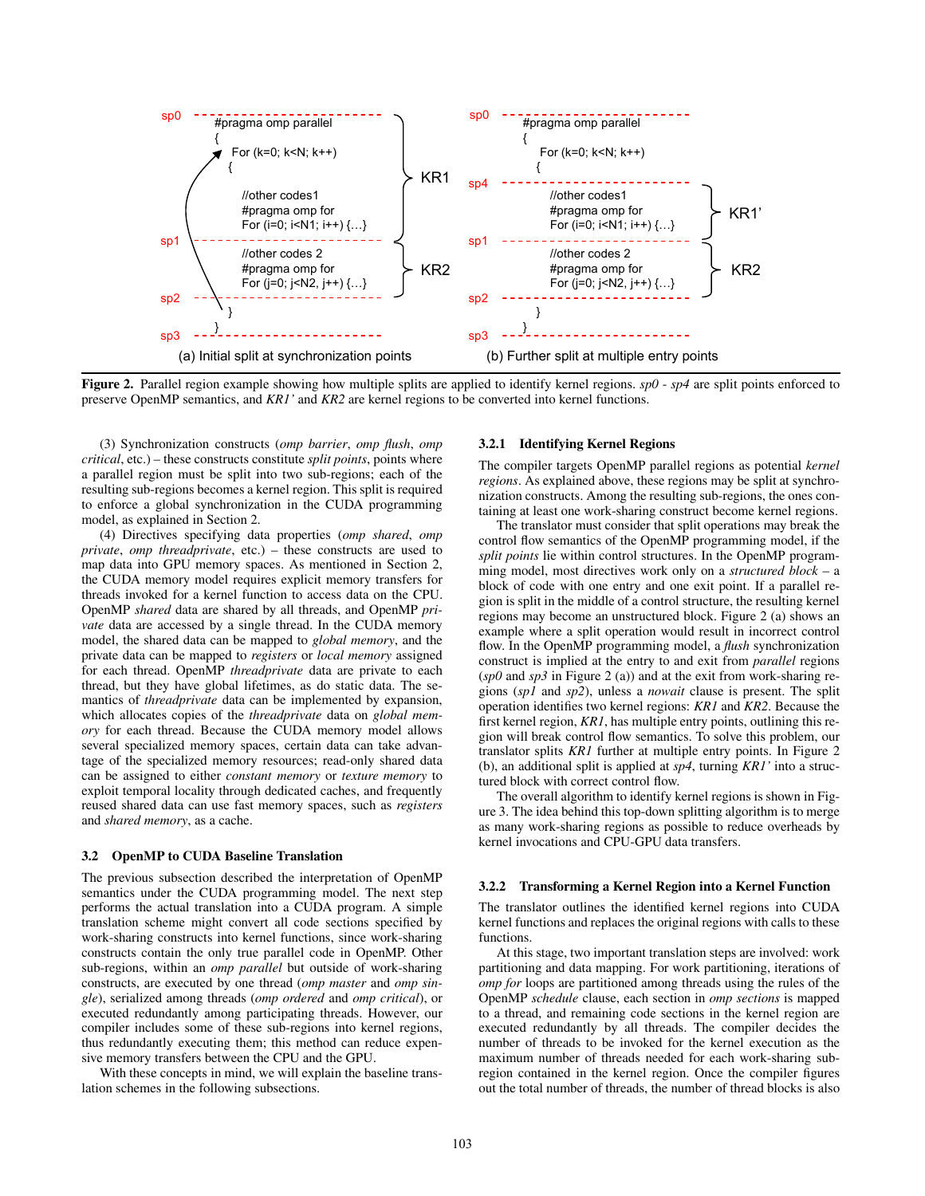

**Figure 2.** Parallel region example showing how multiple splits are applied to identify kernel regions. *sp0* - *sp4* are split points enforced to preserve OpenMP semantics, and *KR1'* and *KR2* are kernel regions to be converted into kernel functions.

(3) Synchronization constructs (*omp barrier*, *omp flush*, *omp critical*, etc.) – these constructs constitute *split points*, points where a parallel region must be split into two sub-regions; each of the resulting sub-regions becomes a kernel region. This split is required to enforce a global synchronization in the CUDA programming model, as explained in Section 2.

(4) Directives specifying data properties (*omp shared*, *omp private*, *omp threadprivate*, etc.) – these constructs are used to map data into GPU memory spaces. As mentioned in Section 2, the CUDA memory model requires explicit memory transfers for threads invoked for a kernel function to access data on the CPU. OpenMP *shared* data are shared by all threads, and OpenMP *private* data are accessed by a single thread. In the CUDA memory model, the shared data can be mapped to *global memory*, and the private data can be mapped to *registers* or *local memory* assigned for each thread. OpenMP *threadprivate* data are private to each thread, but they have global lifetimes, as do static data. The semantics of *threadprivate* data can be implemented by expansion, which allocates copies of the *threadprivate* data on *global memory* for each thread. Because the CUDA memory model allows several specialized memory spaces, certain data can take advantage of the specialized memory resources; read-only shared data can be assigned to either *constant memory* or *texture memory* to exploit temporal locality through dedicated caches, and frequently reused shared data can use fast memory spaces, such as *registers* and *shared memory*, as a cache.

#### **3.2 OpenMP to CUDA Baseline Translation**

The previous subsection described the interpretation of OpenMP semantics under the CUDA programming model. The next step performs the actual translation into a CUDA program. A simple translation scheme might convert all code sections specified by work-sharing constructs into kernel functions, since work-sharing constructs contain the only true parallel code in OpenMP. Other sub-regions, within an *omp parallel* but outside of work-sharing constructs, are executed by one thread (*omp master* and *omp single*), serialized among threads (*omp ordered* and *omp critical*), or executed redundantly among participating threads. However, our compiler includes some of these sub-regions into kernel regions, thus redundantly executing them; this method can reduce expensive memory transfers between the CPU and the GPU.

With these concepts in mind, we will explain the baseline translation schemes in the following subsections.

# **3.2.1 Identifying Kernel Regions**

The compiler targets OpenMP parallel regions as potential *kernel regions*. As explained above, these regions may be split at synchronization constructs. Among the resulting sub-regions, the ones containing at least one work-sharing construct become kernel regions.

The translator must consider that split operations may break the control flow semantics of the OpenMP programming model, if the *split points* lie within control structures. In the OpenMP programming model, most directives work only on a *structured block* – a block of code with one entry and one exit point. If a parallel region is split in the middle of a control structure, the resulting kernel regions may become an unstructured block. Figure 2 (a) shows an example where a split operation would result in incorrect control flow. In the OpenMP programming model, a *flush* synchronization construct is implied at the entry to and exit from *parallel* regions (*sp0* and *sp3* in Figure 2 (a)) and at the exit from work-sharing regions (*sp1* and *sp2*), unless a *nowait* clause is present. The split operation identifies two kernel regions: *KR1* and *KR2*. Because the first kernel region, *KR1*, has multiple entry points, outlining this region will break control flow semantics. To solve this problem, our translator splits *KR1* further at multiple entry points. In Figure 2 (b), an additional split is applied at *sp4*, turning *KR1'* into a structured block with correct control flow.

The overall algorithm to identify kernel regions is shown in Figure 3. The idea behind this top-down splitting algorithm is to merge as many work-sharing regions as possible to reduce overheads by kernel invocations and CPU-GPU data transfers.

#### **3.2.2 Transforming a Kernel Region into a Kernel Function**

The translator outlines the identified kernel regions into CUDA kernel functions and replaces the original regions with calls to these functions.

At this stage, two important translation steps are involved: work partitioning and data mapping. For work partitioning, iterations of *omp for* loops are partitioned among threads using the rules of the OpenMP *schedule* clause, each section in *omp sections* is mapped to a thread, and remaining code sections in the kernel region are executed redundantly by all threads. The compiler decides the number of threads to be invoked for the kernel execution as the maximum number of threads needed for each work-sharing subregion contained in the kernel region. Once the compiler figures out the total number of threads, the number of thread blocks is also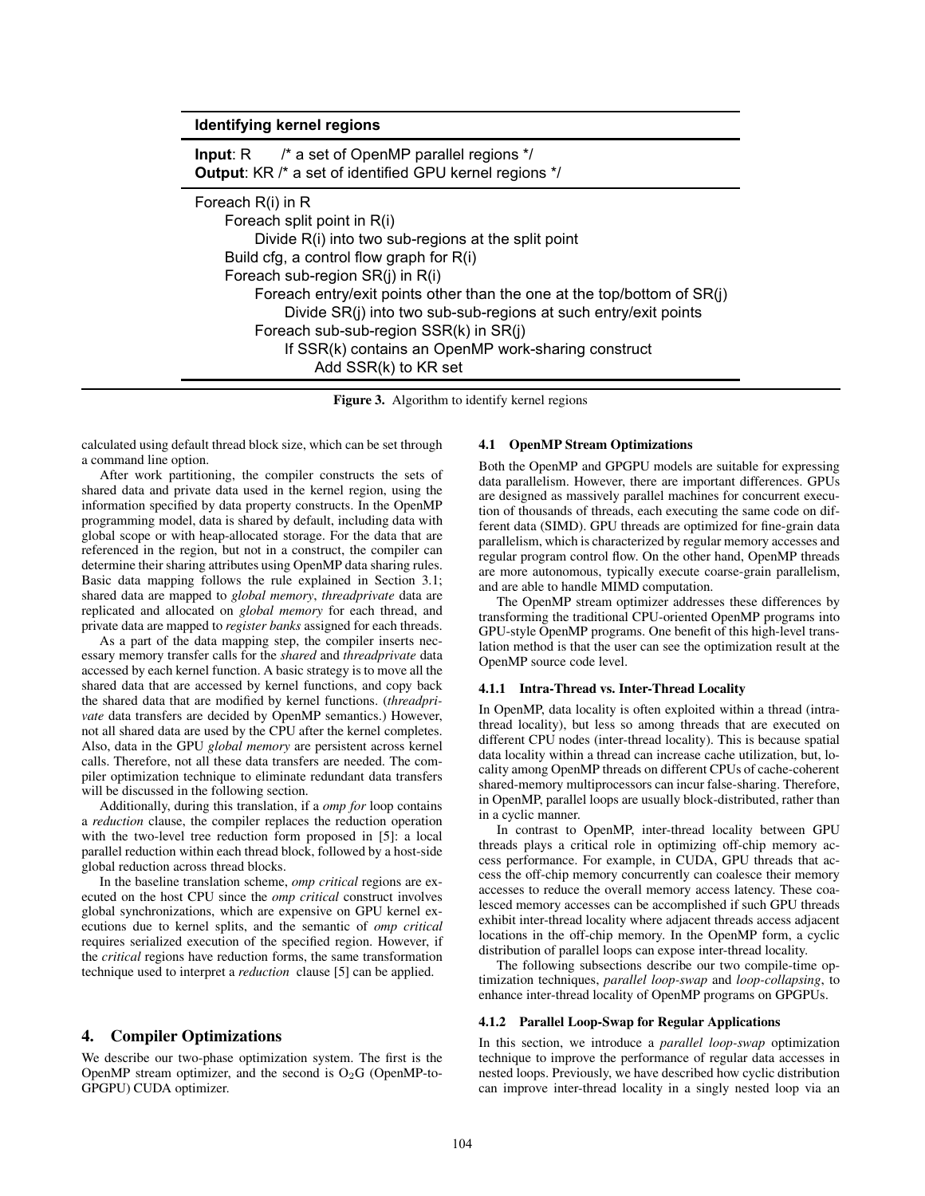# Identifying kernel regions

| /* a set of OpenMP parallel regions */<br>Input: R<br><b>Output:</b> KR /* a set of identified GPU kernel regions */ |  |  |  |  |
|----------------------------------------------------------------------------------------------------------------------|--|--|--|--|
| Foreach R(i) in R                                                                                                    |  |  |  |  |
| Foreach split point in R(i)                                                                                          |  |  |  |  |
| Divide R(i) into two sub-regions at the split point                                                                  |  |  |  |  |
| Build cfg, a control flow graph for R(i)                                                                             |  |  |  |  |
| Foreach sub-region SR(j) in R(i)                                                                                     |  |  |  |  |
| Foreach entry/exit points other than the one at the top/bottom of SR(j)                                              |  |  |  |  |
| Divide SR(j) into two sub-sub-regions at such entry/exit points                                                      |  |  |  |  |
| Foreach sub-sub-region SSR(k) in SR(j)                                                                               |  |  |  |  |
| If SSR(k) contains an OpenMP work-sharing construct                                                                  |  |  |  |  |
| Add SSR(k) to KR set                                                                                                 |  |  |  |  |

**Figure 3.** Algorithm to identify kernel regions

calculated using default thread block size, which can be set through a command line option.

After work partitioning, the compiler constructs the sets of shared data and private data used in the kernel region, using the information specified by data property constructs. In the OpenMP programming model, data is shared by default, including data with global scope or with heap-allocated storage. For the data that are referenced in the region, but not in a construct, the compiler can determine their sharing attributes using OpenMP data sharing rules. Basic data mapping follows the rule explained in Section 3.1; shared data are mapped to *global memory*, *threadprivate* data are replicated and allocated on *global memory* for each thread, and private data are mapped to *register banks* assigned for each threads.

As a part of the data mapping step, the compiler inserts necessary memory transfer calls for the *shared* and *threadprivate* data accessed by each kernel function. A basic strategy is to move all the shared data that are accessed by kernel functions, and copy back the shared data that are modified by kernel functions. (*threadprivate* data transfers are decided by OpenMP semantics.) However, not all shared data are used by the CPU after the kernel completes. Also, data in the GPU *global memory* are persistent across kernel calls. Therefore, not all these data transfers are needed. The compiler optimization technique to eliminate redundant data transfers will be discussed in the following section.

Additionally, during this translation, if a *omp for* loop contains a *reduction* clause, the compiler replaces the reduction operation with the two-level tree reduction form proposed in [5]: a local parallel reduction within each thread block, followed by a host-side global reduction across thread blocks.

In the baseline translation scheme, *omp critical* regions are executed on the host CPU since the *omp critical* construct involves global synchronizations, which are expensive on GPU kernel executions due to kernel splits, and the semantic of *omp critical* requires serialized execution of the specified region. However, if the *critical* regions have reduction forms, the same transformation technique used to interpret a *reduction* clause [5] can be applied.

# **4. Compiler Optimizations**

We describe our two-phase optimization system. The first is the OpenMP stream optimizer, and the second is  $O_2G$  (OpenMP-to-GPGPU) CUDA optimizer.

## **4.1 OpenMP Stream Optimizations**

Both the OpenMP and GPGPU models are suitable for expressing data parallelism. However, there are important differences. GPUs are designed as massively parallel machines for concurrent execution of thousands of threads, each executing the same code on different data (SIMD). GPU threads are optimized for fine-grain data parallelism, which is characterized by regular memory accesses and regular program control flow. On the other hand, OpenMP threads are more autonomous, typically execute coarse-grain parallelism, and are able to handle MIMD computation.

The OpenMP stream optimizer addresses these differences by transforming the traditional CPU-oriented OpenMP programs into GPU-style OpenMP programs. One benefit of this high-level translation method is that the user can see the optimization result at the OpenMP source code level.

#### **4.1.1 Intra-Thread vs. Inter-Thread Locality**

In OpenMP, data locality is often exploited within a thread (intrathread locality), but less so among threads that are executed on different CPU nodes (inter-thread locality). This is because spatial data locality within a thread can increase cache utilization, but, locality among OpenMP threads on different CPUs of cache-coherent shared-memory multiprocessors can incur false-sharing. Therefore, in OpenMP, parallel loops are usually block-distributed, rather than in a cyclic manner.

In contrast to OpenMP, inter-thread locality between GPU threads plays a critical role in optimizing off-chip memory access performance. For example, in CUDA, GPU threads that access the off-chip memory concurrently can coalesce their memory accesses to reduce the overall memory access latency. These coalesced memory accesses can be accomplished if such GPU threads exhibit inter-thread locality where adjacent threads access adjacent locations in the off-chip memory. In the OpenMP form, a cyclic distribution of parallel loops can expose inter-thread locality.

The following subsections describe our two compile-time optimization techniques, *parallel loop-swap* and *loop-collapsing*, to enhance inter-thread locality of OpenMP programs on GPGPUs.

#### **4.1.2 Parallel Loop-Swap for Regular Applications**

In this section, we introduce a *parallel loop-swap* optimization technique to improve the performance of regular data accesses in nested loops. Previously, we have described how cyclic distribution can improve inter-thread locality in a singly nested loop via an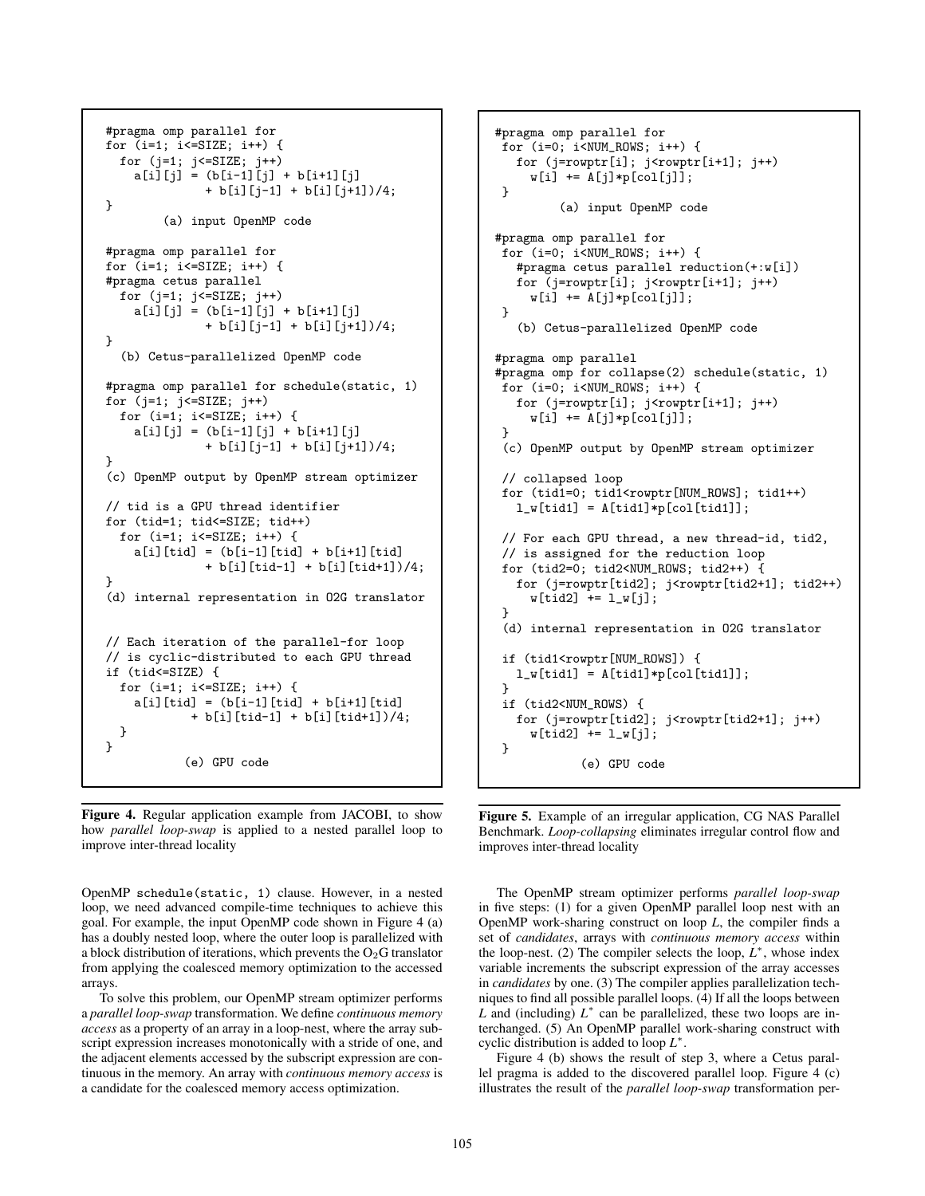```
#pragma omp parallel for
for (i=1; i<=SIZE; i++) {
  for (j=1; j<=SIZE; j++)a[i][j] = (b[i-1][j] + b[i+1][j]+ b[i][j-1] + b[i][j+1])/4;
}
        (a) input OpenMP code
#pragma omp parallel for
for (i=1; i<=SIZE; i++) {
#pragma cetus parallel
  for (j=1; j<=SIZE; j++)
    a[i][j] = (b[i-1][j] + b[i+1][j]+ b[i][j-1] + b[i][j+1])/4;
}
  (b) Cetus-parallelized OpenMP code
#pragma omp parallel for schedule(static, 1)
for (j=1; j<=SIZE; j++)for (i=1; i<=SIZE; i++) {
    a[i][j] = (b[i-1][j] + b[i+1][j]+ b[i][j-1] + b[i][j+1])/4;
}
(c) OpenMP output by OpenMP stream optimizer
// tid is a GPU thread identifier
for (tid=1; tid<=SIZE; tid++)
  for (i=1; i<=SIZE; i++) {
    a[i][tid] = (b[i-1][tid] + b[i+1][tid]+ b[i][tid-1] + b[i][tid+1])/4;
}
(d) internal representation in O2G translator
// Each iteration of the parallel-for loop
// is cyclic-distributed to each GPU thread
if (tid<=SIZE) {
  for (i=1; i<=SIZE; i++) {
    a[i][tid] = (b[i-1][tid] + b[i+1][tid]+ b[i][tid-1] + b[i][tid+1])/4;
  }
}
           (e) GPU code
```
**Figure 4.** Regular application example from JACOBI, to show how *parallel loop-swap* is applied to a nested parallel loop to improve inter-thread locality

OpenMP schedule(static, 1) clause. However, in a nested loop, we need advanced compile-time techniques to achieve this goal. For example, the input OpenMP code shown in Figure 4 (a) has a doubly nested loop, where the outer loop is parallelized with a block distribution of iterations, which prevents the  $O_2G$  translator from applying the coalesced memory optimization to the accessed arrays.

To solve this problem, our OpenMP stream optimizer performs a *parallel loop-swap* transformation. We define *continuous memory access* as a property of an array in a loop-nest, where the array subscript expression increases monotonically with a stride of one, and the adjacent elements accessed by the subscript expression are continuous in the memory. An array with *continuous memory access* is a candidate for the coalesced memory access optimization.

```
#pragma omp parallel for
for (i=0; i<NUM_ROWS; i++) {
  for (j=rowptr[i]; j<rowptr[i+1]; j++)
     w[i] += A[j]*p[col[j]];
}
         (a) input OpenMP code
#pragma omp parallel for
for (i=0; i<NUM_ROWS; i++) {
   #pragma cetus parallel reduction(+:w[i])
   for (j=rowptr[i]; j<rowptr[i+1]; j++)
     w[i] += A[j]*p[col[j]];
}
   (b) Cetus-parallelized OpenMP code
#pragma omp parallel
#pragma omp for collapse(2) schedule(static, 1)
for (i=0; i<NUM_ROWS; i++) {
  for (j=rowptr[i]; j<rowptr[i+1]; j++)
     w[i] += A[i]*p[col[i]];}
 (c) OpenMP output by OpenMP stream optimizer
 // collapsed loop
 for (tid1=0; tid1<rowptr[NUM_ROWS]; tid1++)
  l_w[tid1] = A[tid1]*p[col[tid1]];// For each GPU thread, a new thread-id, tid2,
 // is assigned for the reduction loop
for (tid2=0; tid2<NUM_ROWS; tid2++) {
  for (j=rowptr[tid2]; j<rowptr[tid2+1]; tid2++)
     w[tid2] += l_w[j];}
 (d) internal representation in O2G translator
 if (tid1<rowptr[NUM_ROWS]) {
  l_w[tid1] = A[tid1]*p[col[tid1]];}
 if (tid2<NUM_ROWS) {
  for (j=rowptr[tid2]; j<rowptr[tid2+1]; j++)
     w[tid2] += 1_w[j];}
            (e) GPU code
```
**Figure 5.** Example of an irregular application, CG NAS Parallel Benchmark. *Loop-collapsing* eliminates irregular control flow and improves inter-thread locality

The OpenMP stream optimizer performs *parallel loop-swap* in five steps: (1) for a given OpenMP parallel loop nest with an OpenMP work-sharing construct on loop *L*, the compiler finds a set of *candidates*, arrays with *continuous memory access* within the loop-nest. (2) The compiler selects the loop,  $\hat{L}^*$ , whose index variable increments the subscript expression of the array accesses in *candidates* by one. (3) The compiler applies parallelization techniques to find all possible parallel loops. (4) If all the loops between *L* and (including)  $L^*$  can be parallelized, these two loops are interchanged. (5) An OpenMP parallel work-sharing construct with cyclic distribution is added to loop  $L^*$ .

Figure 4 (b) shows the result of step 3, where a Cetus parallel pragma is added to the discovered parallel loop. Figure 4 (c) illustrates the result of the *parallel loop-swap* transformation per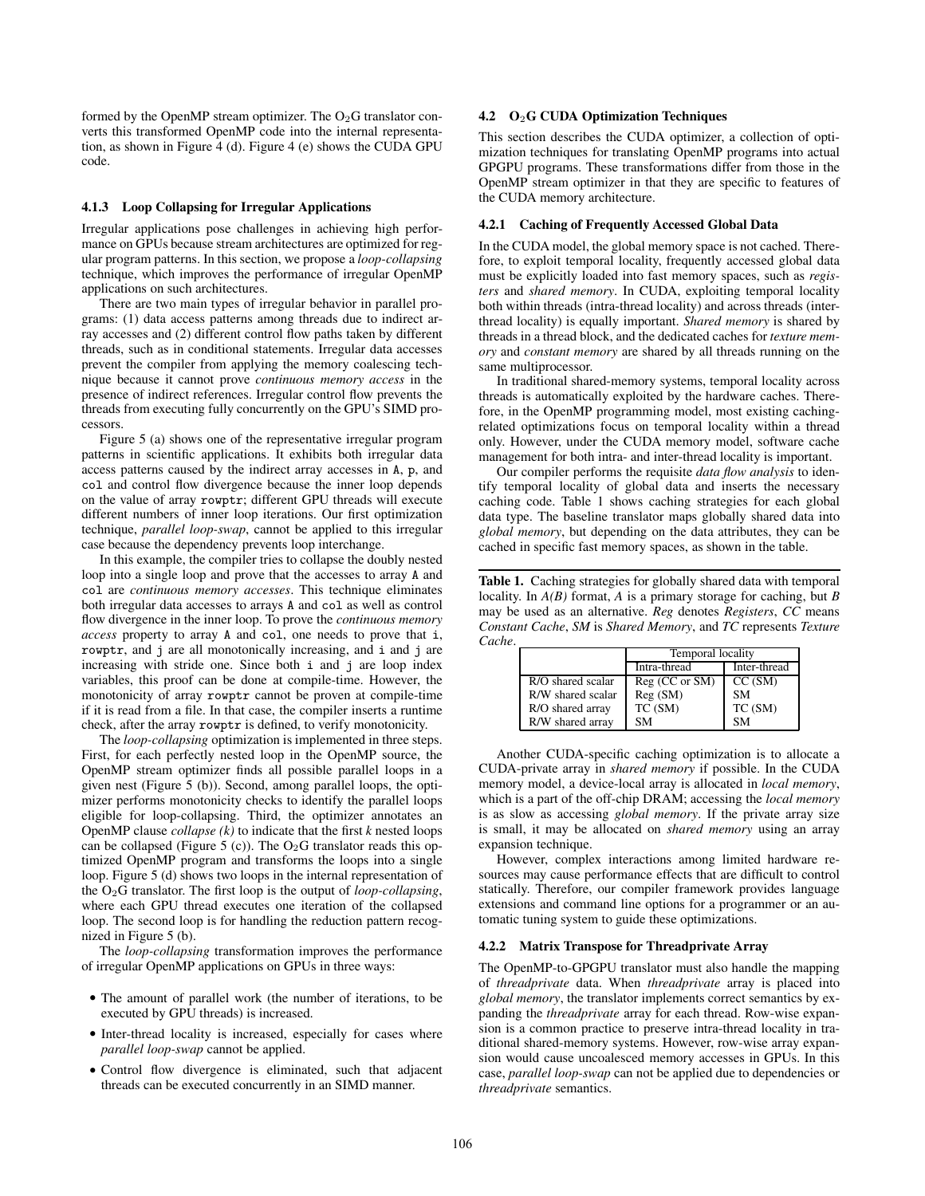formed by the OpenMP stream optimizer. The  $O_2G$  translator converts this transformed OpenMP code into the internal representation, as shown in Figure 4 (d). Figure 4 (e) shows the CUDA GPU code.

#### **4.1.3 Loop Collapsing for Irregular Applications**

Irregular applications pose challenges in achieving high performance on GPUs because stream architectures are optimized for regular program patterns. In this section, we propose a *loop-collapsing* technique, which improves the performance of irregular OpenMP applications on such architectures.

There are two main types of irregular behavior in parallel programs: (1) data access patterns among threads due to indirect array accesses and (2) different control flow paths taken by different threads, such as in conditional statements. Irregular data accesses prevent the compiler from applying the memory coalescing technique because it cannot prove *continuous memory access* in the presence of indirect references. Irregular control flow prevents the threads from executing fully concurrently on the GPU's SIMD processors.

Figure 5 (a) shows one of the representative irregular program patterns in scientific applications. It exhibits both irregular data access patterns caused by the indirect array accesses in A, p, and col and control flow divergence because the inner loop depends on the value of array rowptr; different GPU threads will execute different numbers of inner loop iterations. Our first optimization technique, *parallel loop-swap*, cannot be applied to this irregular case because the dependency prevents loop interchange.

In this example, the compiler tries to collapse the doubly nested loop into a single loop and prove that the accesses to array A and col are *continuous memory accesses*. This technique eliminates both irregular data accesses to arrays A and col as well as control flow divergence in the inner loop. To prove the *continuous memory access* property to array A and col, one needs to prove that i, rowptr, and j are all monotonically increasing, and i and j are increasing with stride one. Since both i and j are loop index variables, this proof can be done at compile-time. However, the monotonicity of array rowptr cannot be proven at compile-time if it is read from a file. In that case, the compiler inserts a runtime check, after the array rowptr is defined, to verify monotonicity.

The *loop-collapsing* optimization is implemented in three steps. First, for each perfectly nested loop in the OpenMP source, the OpenMP stream optimizer finds all possible parallel loops in a given nest (Figure 5 (b)). Second, among parallel loops, the optimizer performs monotonicity checks to identify the parallel loops eligible for loop-collapsing. Third, the optimizer annotates an OpenMP clause *collapse (k)* to indicate that the first *k* nested loops can be collapsed (Figure 5 (c)). The  $O_2G$  translator reads this optimized OpenMP program and transforms the loops into a single loop. Figure 5 (d) shows two loops in the internal representation of the O2G translator. The first loop is the output of *loop-collapsing*, where each GPU thread executes one iteration of the collapsed loop. The second loop is for handling the reduction pattern recognized in Figure 5 (b).

The *loop-collapsing* transformation improves the performance of irregular OpenMP applications on GPUs in three ways:

- The amount of parallel work (the number of iterations, to be executed by GPU threads) is increased.
- Inter-thread locality is increased, especially for cases where *parallel loop-swap* cannot be applied.
- Control flow divergence is eliminated, such that adjacent threads can be executed concurrently in an SIMD manner.

## **4.2 O**2**G CUDA Optimization Techniques**

This section describes the CUDA optimizer, a collection of optimization techniques for translating OpenMP programs into actual GPGPU programs. These transformations differ from those in the OpenMP stream optimizer in that they are specific to features of the CUDA memory architecture.

#### **4.2.1 Caching of Frequently Accessed Global Data**

In the CUDA model, the global memory space is not cached. Therefore, to exploit temporal locality, frequently accessed global data must be explicitly loaded into fast memory spaces, such as *registers* and *shared memory*. In CUDA, exploiting temporal locality both within threads (intra-thread locality) and across threads (interthread locality) is equally important. *Shared memory* is shared by threads in a thread block, and the dedicated caches for *texture memory* and *constant memory* are shared by all threads running on the same multiprocessor.

In traditional shared-memory systems, temporal locality across threads is automatically exploited by the hardware caches. Therefore, in the OpenMP programming model, most existing cachingrelated optimizations focus on temporal locality within a thread only. However, under the CUDA memory model, software cache management for both intra- and inter-thread locality is important.

Our compiler performs the requisite *data flow analysis* to identify temporal locality of global data and inserts the necessary caching code. Table 1 shows caching strategies for each global data type. The baseline translator maps globally shared data into *global memory*, but depending on the data attributes, they can be cached in specific fast memory spaces, as shown in the table.

**Table 1.** Caching strategies for globally shared data with temporal locality. In *A(B)* format, *A* is a primary storage for caching, but *B* may be used as an alternative. *Reg* denotes *Registers*, *CC* means *Constant Cache*, *SM* is *Shared Memory*, and *TC* represents *Texture Cache*.

|                   | Temporal locality |              |
|-------------------|-------------------|--------------|
|                   | Intra-thread      | Inter-thread |
| R/O shared scalar | Reg (CC or SM)    | CC(SM)       |
| R/W shared scalar | Reg(SM)           | <b>SM</b>    |
| R/O shared array  | TC (SM)           | TC(SM)       |
| R/W shared array  | <b>SM</b>         | <b>SM</b>    |

Another CUDA-specific caching optimization is to allocate a CUDA-private array in *shared memory* if possible. In the CUDA memory model, a device-local array is allocated in *local memory*, which is a part of the off-chip DRAM; accessing the *local memory* is as slow as accessing *global memory*. If the private array size is small, it may be allocated on *shared memory* using an array expansion technique.

However, complex interactions among limited hardware resources may cause performance effects that are difficult to control statically. Therefore, our compiler framework provides language extensions and command line options for a programmer or an automatic tuning system to guide these optimizations.

#### **4.2.2 Matrix Transpose for Threadprivate Array**

The OpenMP-to-GPGPU translator must also handle the mapping of *threadprivate* data. When *threadprivate* array is placed into *global memory*, the translator implements correct semantics by expanding the *threadprivate* array for each thread. Row-wise expansion is a common practice to preserve intra-thread locality in traditional shared-memory systems. However, row-wise array expansion would cause uncoalesced memory accesses in GPUs. In this case, *parallel loop-swap* can not be applied due to dependencies or *threadprivate* semantics.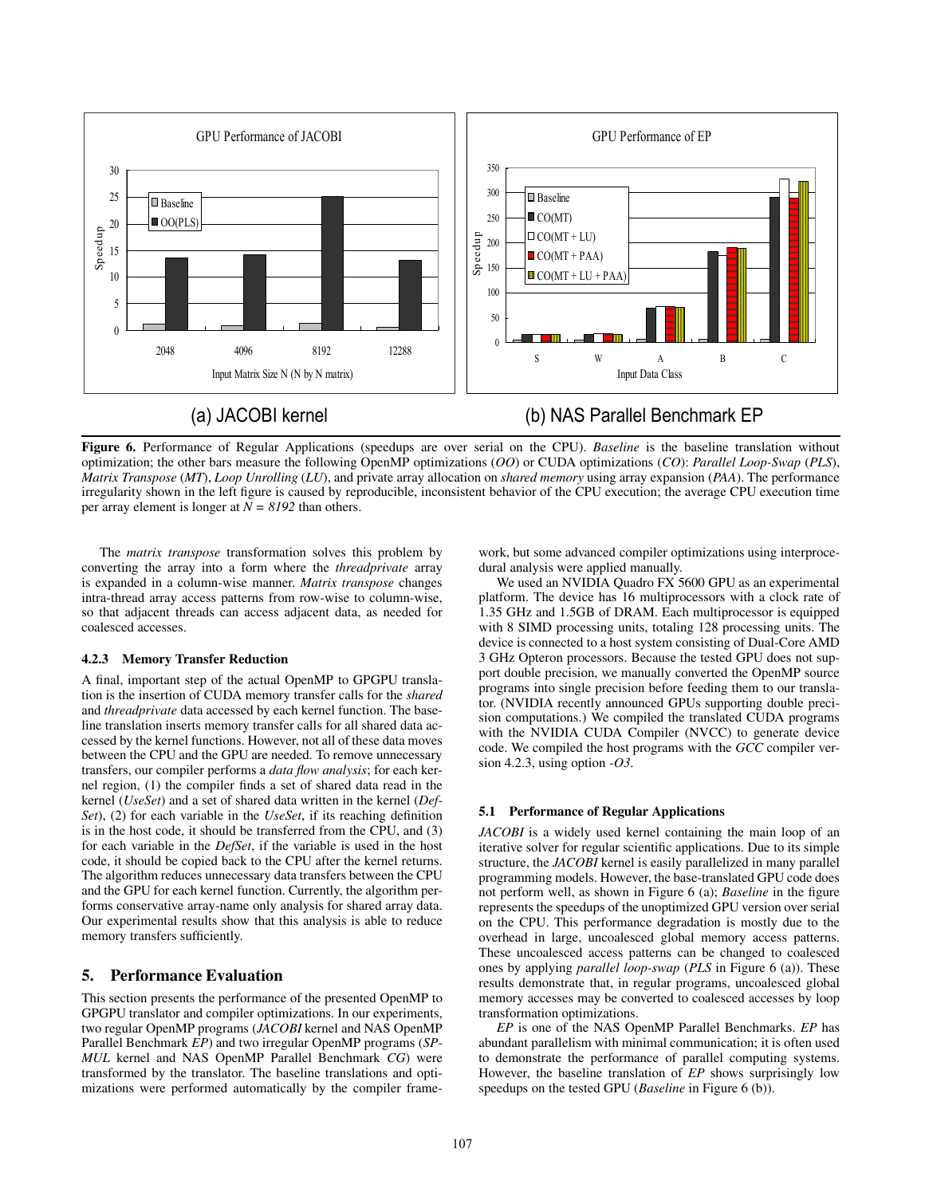

**Figure 6.** Performance of Regular Applications (speedups are over serial on the CPU). *Baseline* is the baseline translation without optimization; the other bars measure the following OpenMP optimizations (*OO*) or CUDA optimizations (*CO*): *Parallel Loop-Swap* (*PLS*), *Matrix Transpose* (*MT*), *Loop Unrolling* (*LU*), and private array allocation on *shared memory* using array expansion (*PAA*). The performance irregularity shown in the left figure is caused by reproducible, inconsistent behavior of the CPU execution; the average CPU execution time per array element is longer at  $N = 8192$  than others.

The *matrix transpose* transformation solves this problem by converting the array into a form where the *threadprivate* array is expanded in a column-wise manner. *Matrix transpose* changes intra-thread array access patterns from row-wise to column-wise, so that adjacent threads can access adjacent data, as needed for coalesced accesses.

#### **4.2.3 Memory Transfer Reduction**

A final, important step of the actual OpenMP to GPGPU translation is the insertion of CUDA memory transfer calls for the *shared* and *threadprivate* data accessed by each kernel function. The baseline translation inserts memory transfer calls for all shared data accessed by the kernel functions. However, not all of these data moves between the CPU and the GPU are needed. To remove unnecessary transfers, our compiler performs a *data flow analysis*; for each kernel region, (1) the compiler finds a set of shared data read in the kernel (*UseSet*) and a set of shared data written in the kernel (*Def-Set*), (2) for each variable in the *UseSet*, if its reaching definition is in the host code, it should be transferred from the CPU, and (3) for each variable in the *DefSet*, if the variable is used in the host code, it should be copied back to the CPU after the kernel returns. The algorithm reduces unnecessary data transfers between the CPU and the GPU for each kernel function. Currently, the algorithm performs conservative array-name only analysis for shared array data. Our experimental results show that this analysis is able to reduce memory transfers sufficiently.

## **5. Performance Evaluation**

This section presents the performance of the presented OpenMP to GPGPU translator and compiler optimizations. In our experiments, two regular OpenMP programs (*JACOBI* kernel and NAS OpenMP Parallel Benchmark *EP*) and two irregular OpenMP programs (*SP-MUL* kernel and NAS OpenMP Parallel Benchmark *CG*) were transformed by the translator. The baseline translations and optimizations were performed automatically by the compiler framework, but some advanced compiler optimizations using interprocedural analysis were applied manually.

We used an NVIDIA Quadro FX 5600 GPU as an experimental platform. The device has 16 multiprocessors with a clock rate of 1.35 GHz and 1.5GB of DRAM. Each multiprocessor is equipped with 8 SIMD processing units, totaling 128 processing units. The device is connected to a host system consisting of Dual-Core AMD 3 GHz Opteron processors. Because the tested GPU does not support double precision, we manually converted the OpenMP source programs into single precision before feeding them to our translator. (NVIDIA recently announced GPUs supporting double precision computations.) We compiled the translated CUDA programs with the NVIDIA CUDA Compiler (NVCC) to generate device code. We compiled the host programs with the *GCC* compiler version 4.2.3, using option *-O3*.

## **5.1 Performance of Regular Applications**

*JACOBI* is a widely used kernel containing the main loop of an iterative solver for regular scientific applications. Due to its simple structure, the *JACOBI* kernel is easily parallelized in many parallel programming models. However, the base-translated GPU code does not perform well, as shown in Figure 6 (a); *Baseline* in the figure represents the speedups of the unoptimized GPU version over serial on the CPU. This performance degradation is mostly due to the overhead in large, uncoalesced global memory access patterns. These uncoalesced access patterns can be changed to coalesced ones by applying *parallel loop-swap* (*PLS* in Figure 6 (a)). These results demonstrate that, in regular programs, uncoalesced global memory accesses may be converted to coalesced accesses by loop transformation optimizations.

*EP* is one of the NAS OpenMP Parallel Benchmarks. *EP* has abundant parallelism with minimal communication; it is often used to demonstrate the performance of parallel computing systems. However, the baseline translation of *EP* shows surprisingly low speedups on the tested GPU (*Baseline* in Figure 6 (b)).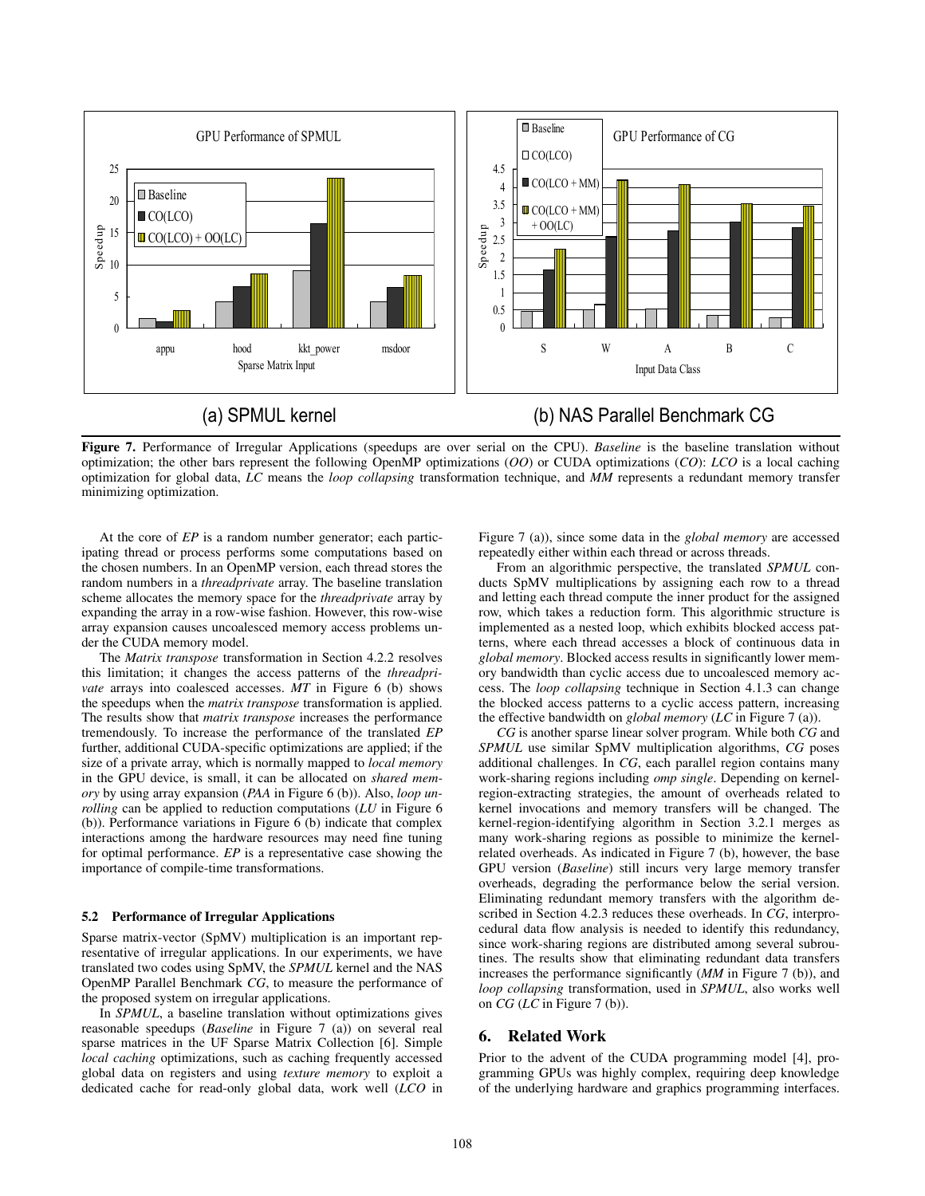

**Figure 7.** Performance of Irregular Applications (speedups are over serial on the CPU). *Baseline* is the baseline translation without optimization; the other bars represent the following OpenMP optimizations (*OO*) or CUDA optimizations (*CO*): *LCO* is a local caching optimization for global data, *LC* means the *loop collapsing* transformation technique, and *MM* represents a redundant memory transfer minimizing optimization.

At the core of *EP* is a random number generator; each participating thread or process performs some computations based on the chosen numbers. In an OpenMP version, each thread stores the random numbers in a *threadprivate* array. The baseline translation scheme allocates the memory space for the *threadprivate* array by expanding the array in a row-wise fashion. However, this row-wise array expansion causes uncoalesced memory access problems under the CUDA memory model.

The *Matrix transpose* transformation in Section 4.2.2 resolves this limitation; it changes the access patterns of the *threadprivate* arrays into coalesced accesses. *MT* in Figure 6 (b) shows the speedups when the *matrix transpose* transformation is applied. The results show that *matrix transpose* increases the performance tremendously. To increase the performance of the translated *EP* further, additional CUDA-specific optimizations are applied; if the size of a private array, which is normally mapped to *local memory* in the GPU device, is small, it can be allocated on *shared memory* by using array expansion (*PAA* in Figure 6 (b)). Also, *loop unrolling* can be applied to reduction computations (*LU* in Figure 6 (b)). Performance variations in Figure 6 (b) indicate that complex interactions among the hardware resources may need fine tuning for optimal performance. *EP* is a representative case showing the importance of compile-time transformations.

#### **5.2 Performance of Irregular Applications**

Sparse matrix-vector (SpMV) multiplication is an important representative of irregular applications. In our experiments, we have translated two codes using SpMV, the *SPMUL* kernel and the NAS OpenMP Parallel Benchmark *CG*, to measure the performance of the proposed system on irregular applications.

In *SPMUL*, a baseline translation without optimizations gives reasonable speedups (*Baseline* in Figure 7 (a)) on several real sparse matrices in the UF Sparse Matrix Collection [6]. Simple *local caching* optimizations, such as caching frequently accessed global data on registers and using *texture memory* to exploit a dedicated cache for read-only global data, work well (*LCO* in Figure 7 (a)), since some data in the *global memory* are accessed repeatedly either within each thread or across threads.

From an algorithmic perspective, the translated *SPMUL* conducts SpMV multiplications by assigning each row to a thread and letting each thread compute the inner product for the assigned row, which takes a reduction form. This algorithmic structure is implemented as a nested loop, which exhibits blocked access patterns, where each thread accesses a block of continuous data in *global memory*. Blocked access results in significantly lower memory bandwidth than cyclic access due to uncoalesced memory access. The *loop collapsing* technique in Section 4.1.3 can change the blocked access patterns to a cyclic access pattern, increasing the effective bandwidth on *global memory* (*LC* in Figure 7 (a)).

*CG* is another sparse linear solver program. While both *CG* and *SPMUL* use similar SpMV multiplication algorithms, *CG* poses additional challenges. In *CG*, each parallel region contains many work-sharing regions including *omp single*. Depending on kernelregion-extracting strategies, the amount of overheads related to kernel invocations and memory transfers will be changed. The kernel-region-identifying algorithm in Section 3.2.1 merges as many work-sharing regions as possible to minimize the kernelrelated overheads. As indicated in Figure 7 (b), however, the base GPU version (*Baseline*) still incurs very large memory transfer overheads, degrading the performance below the serial version. Eliminating redundant memory transfers with the algorithm described in Section 4.2.3 reduces these overheads. In *CG*, interprocedural data flow analysis is needed to identify this redundancy, since work-sharing regions are distributed among several subroutines. The results show that eliminating redundant data transfers increases the performance significantly (*MM* in Figure 7 (b)), and *loop collapsing* transformation, used in *SPMUL*, also works well on *CG* (*LC* in Figure 7 (b)).

# **6. Related Work**

Prior to the advent of the CUDA programming model [4], programming GPUs was highly complex, requiring deep knowledge of the underlying hardware and graphics programming interfaces.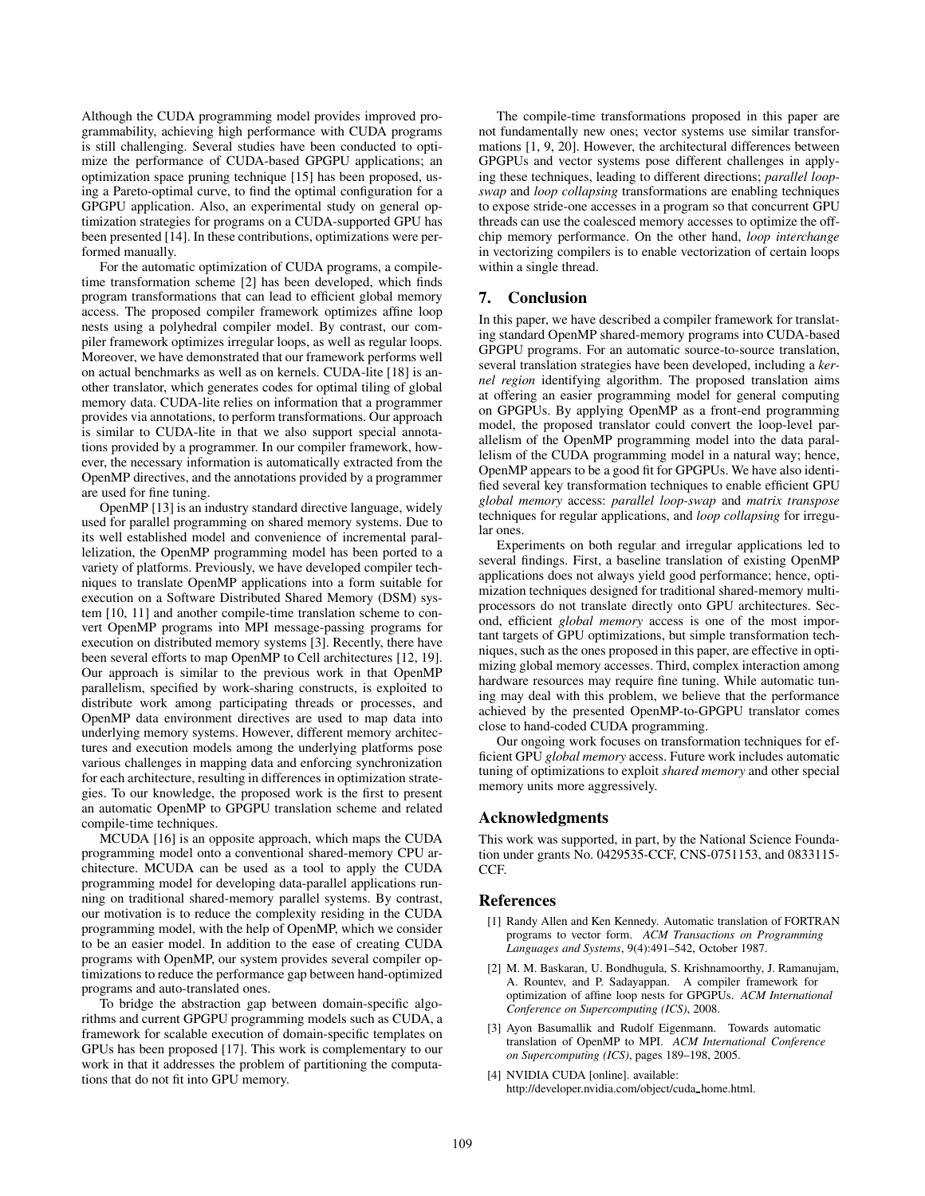Although the CUDA programming model provides improved programmability, achieving high performance with CUDA programs is still challenging. Several studies have been conducted to optimize the performance of CUDA-based GPGPU applications; an optimization space pruning technique [15] has been proposed, using a Pareto-optimal curve, to find the optimal configuration for a GPGPU application. Also, an experimental study on general optimization strategies for programs on a CUDA-supported GPU has been presented [14]. In these contributions, optimizations were performed manually.

For the automatic optimization of CUDA programs, a compiletime transformation scheme [2] has been developed, which finds program transformations that can lead to efficient global memory access. The proposed compiler framework optimizes affine loop nests using a polyhedral compiler model. By contrast, our compiler framework optimizes irregular loops, as well as regular loops. Moreover, we have demonstrated that our framework performs well on actual benchmarks as well as on kernels. CUDA-lite [18] is another translator, which generates codes for optimal tiling of global memory data. CUDA-lite relies on information that a programmer provides via annotations, to perform transformations. Our approach is similar to CUDA-lite in that we also support special annotations provided by a programmer. In our compiler framework, however, the necessary information is automatically extracted from the OpenMP directives, and the annotations provided by a programmer are used for fine tuning.

OpenMP [13] is an industry standard directive language, widely used for parallel programming on shared memory systems. Due to its well established model and convenience of incremental parallelization, the OpenMP programming model has been ported to a variety of platforms. Previously, we have developed compiler techniques to translate OpenMP applications into a form suitable for execution on a Software Distributed Shared Memory (DSM) system [10, 11] and another compile-time translation scheme to convert OpenMP programs into MPI message-passing programs for execution on distributed memory systems [3]. Recently, there have been several efforts to map OpenMP to Cell architectures [12, 19]. Our approach is similar to the previous work in that OpenMP parallelism, specified by work-sharing constructs, is exploited to distribute work among participating threads or processes, and OpenMP data environment directives are used to map data into underlying memory systems. However, different memory architectures and execution models among the underlying platforms pose various challenges in mapping data and enforcing synchronization for each architecture, resulting in differences in optimization strategies. To our knowledge, the proposed work is the first to present an automatic OpenMP to GPGPU translation scheme and related compile-time techniques.

MCUDA [16] is an opposite approach, which maps the CUDA programming model onto a conventional shared-memory CPU architecture. MCUDA can be used as a tool to apply the CUDA programming model for developing data-parallel applications running on traditional shared-memory parallel systems. By contrast, our motivation is to reduce the complexity residing in the CUDA programming model, with the help of OpenMP, which we consider to be an easier model. In addition to the ease of creating CUDA programs with OpenMP, our system provides several compiler optimizations to reduce the performance gap between hand-optimized programs and auto-translated ones.

To bridge the abstraction gap between domain-specific algorithms and current GPGPU programming models such as CUDA, a framework for scalable execution of domain-specific templates on GPUs has been proposed [17]. This work is complementary to our work in that it addresses the problem of partitioning the computations that do not fit into GPU memory.

The compile-time transformations proposed in this paper are not fundamentally new ones; vector systems use similar transformations [1, 9, 20]. However, the architectural differences between GPGPUs and vector systems pose different challenges in applying these techniques, leading to different directions; *parallel loopswap* and *loop collapsing* transformations are enabling techniques to expose stride-one accesses in a program so that concurrent GPU threads can use the coalesced memory accesses to optimize the offchip memory performance. On the other hand, *loop interchange* in vectorizing compilers is to enable vectorization of certain loops within a single thread.

# **7. Conclusion**

In this paper, we have described a compiler framework for translating standard OpenMP shared-memory programs into CUDA-based GPGPU programs. For an automatic source-to-source translation, several translation strategies have been developed, including a *kernel region* identifying algorithm. The proposed translation aims at offering an easier programming model for general computing on GPGPUs. By applying OpenMP as a front-end programming model, the proposed translator could convert the loop-level parallelism of the OpenMP programming model into the data parallelism of the CUDA programming model in a natural way; hence, OpenMP appears to be a good fit for GPGPUs. We have also identified several key transformation techniques to enable efficient GPU *global memory* access: *parallel loop-swap* and *matrix transpose* techniques for regular applications, and *loop collapsing* for irregular ones.

Experiments on both regular and irregular applications led to several findings. First, a baseline translation of existing OpenMP applications does not always yield good performance; hence, optimization techniques designed for traditional shared-memory multiprocessors do not translate directly onto GPU architectures. Second, efficient *global memory* access is one of the most important targets of GPU optimizations, but simple transformation techniques, such as the ones proposed in this paper, are effective in optimizing global memory accesses. Third, complex interaction among hardware resources may require fine tuning. While automatic tuning may deal with this problem, we believe that the performance achieved by the presented OpenMP-to-GPGPU translator comes close to hand-coded CUDA programming.

Our ongoing work focuses on transformation techniques for efficient GPU *global memory* access. Future work includes automatic tuning of optimizations to exploit *shared memory* and other special memory units more aggressively.

## **Acknowledgments**

This work was supported, in part, by the National Science Foundation under grants No. 0429535-CCF, CNS-0751153, and 0833115- CCF.

## **References**

- [1] Randy Allen and Ken Kennedy. Automatic translation of FORTRAN programs to vector form. *ACM Transactions on Programming Languages and Systems*, 9(4):491–542, October 1987.
- [2] M. M. Baskaran, U. Bondhugula, S. Krishnamoorthy, J. Ramanujam, A. Rountev, and P. Sadayappan. A compiler framework for optimization of affine loop nests for GPGPUs. *ACM International Conference on Supercomputing (ICS)*, 2008.
- [3] Ayon Basumallik and Rudolf Eigenmann. Towards automatic translation of OpenMP to MPI. *ACM International Conference on Supercomputing (ICS)*, pages 189–198, 2005.
- [4] NVIDIA CUDA [online]. available: http://developer.nvidia.com/object/cuda home.html.